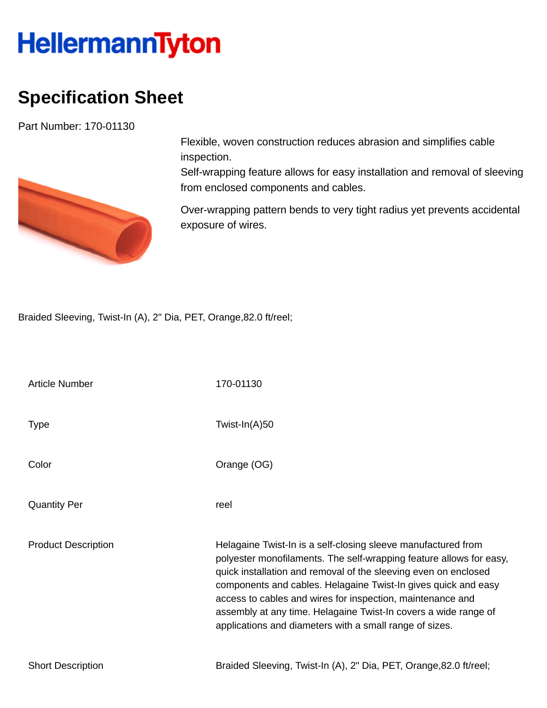## **HellermannTyton**

## **Specification Sheet**

Part Number: 170-01130



Flexible, woven construction reduces abrasion and simplifies cable inspection.

Self-wrapping feature allows for easy installation and removal of sleeving from enclosed components and cables.

Over-wrapping pattern bends to very tight radius yet prevents accidental exposure of wires.

Braided Sleeving, Twist-In (A), 2" Dia, PET, Orange,82.0 ft/reel;

| <b>Article Number</b>      | 170-01130                                                                                                                                                                                                                                                                                                                                                                                                                                                             |
|----------------------------|-----------------------------------------------------------------------------------------------------------------------------------------------------------------------------------------------------------------------------------------------------------------------------------------------------------------------------------------------------------------------------------------------------------------------------------------------------------------------|
| <b>Type</b>                | Twist-In(A)50                                                                                                                                                                                                                                                                                                                                                                                                                                                         |
| Color                      | Orange (OG)                                                                                                                                                                                                                                                                                                                                                                                                                                                           |
| <b>Quantity Per</b>        | reel                                                                                                                                                                                                                                                                                                                                                                                                                                                                  |
| <b>Product Description</b> | Helagaine Twist-In is a self-closing sleeve manufactured from<br>polyester monofilaments. The self-wrapping feature allows for easy,<br>quick installation and removal of the sleeving even on enclosed<br>components and cables. Helagaine Twist-In gives quick and easy<br>access to cables and wires for inspection, maintenance and<br>assembly at any time. Helagaine Twist-In covers a wide range of<br>applications and diameters with a small range of sizes. |
| <b>Short Description</b>   | Braided Sleeving, Twist-In (A), 2" Dia, PET, Orange, 82.0 ft/reel;                                                                                                                                                                                                                                                                                                                                                                                                    |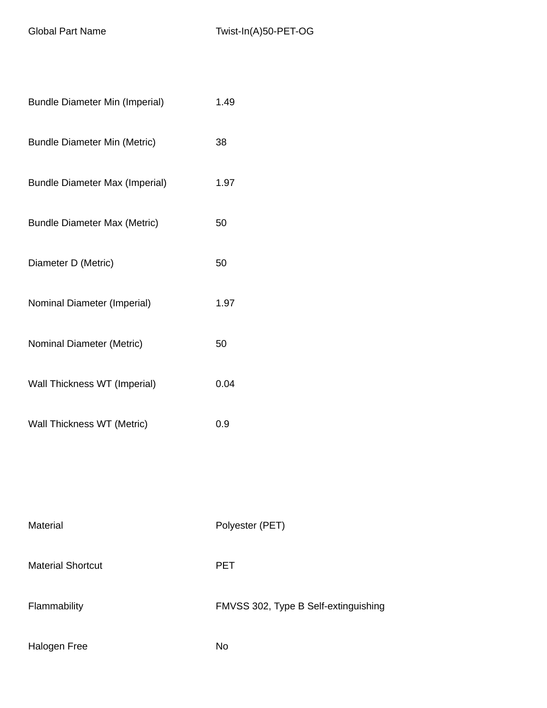| <b>Bundle Diameter Min (Imperial)</b> | 1.49                                 |
|---------------------------------------|--------------------------------------|
| <b>Bundle Diameter Min (Metric)</b>   | 38                                   |
| <b>Bundle Diameter Max (Imperial)</b> | 1.97                                 |
| <b>Bundle Diameter Max (Metric)</b>   | 50                                   |
| Diameter D (Metric)                   | 50                                   |
| Nominal Diameter (Imperial)           | 1.97                                 |
| Nominal Diameter (Metric)             | 50                                   |
| Wall Thickness WT (Imperial)          | 0.04                                 |
| Wall Thickness WT (Metric)            | 0.9                                  |
|                                       |                                      |
|                                       |                                      |
| Material                              | Polyester (PET)                      |
| <b>Material Shortcut</b>              | <b>PET</b>                           |
| Flammability                          | FMVSS 302, Type B Self-extinguishing |
| Halogen Free                          | <b>No</b>                            |